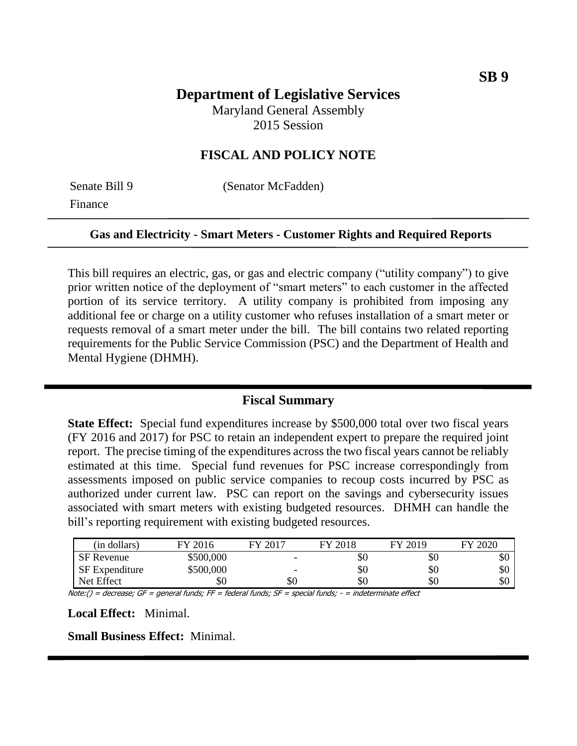# **Department of Legislative Services**

Maryland General Assembly 2015 Session

## **FISCAL AND POLICY NOTE**

Finance

Senate Bill 9 (Senator McFadden)

#### **Gas and Electricity - Smart Meters - Customer Rights and Required Reports**

This bill requires an electric, gas, or gas and electric company ("utility company") to give prior written notice of the deployment of "smart meters" to each customer in the affected portion of its service territory. A utility company is prohibited from imposing any additional fee or charge on a utility customer who refuses installation of a smart meter or requests removal of a smart meter under the bill. The bill contains two related reporting requirements for the Public Service Commission (PSC) and the Department of Health and Mental Hygiene (DHMH).

#### **Fiscal Summary**

**State Effect:** Special fund expenditures increase by \$500,000 total over two fiscal years (FY 2016 and 2017) for PSC to retain an independent expert to prepare the required joint report. The precise timing of the expenditures across the two fiscal years cannot be reliably estimated at this time. Special fund revenues for PSC increase correspondingly from assessments imposed on public service companies to recoup costs incurred by PSC as authorized under current law. PSC can report on the savings and cybersecurity issues associated with smart meters with existing budgeted resources. DHMH can handle the bill's reporting requirement with existing budgeted resources.

| (in dollars)          | FY 2016   | FY 2017 | FY 2018 | FY 2019 | FY 2020 |
|-----------------------|-----------|---------|---------|---------|---------|
| <b>SF</b> Revenue     | \$500,000 |         | \$0     | \$0     | υU      |
| <b>SF</b> Expenditure | \$500,000 | -       | \$0     | \$0     | \$0     |
| Net Effect            | \$0       | \$0     | \$0     | \$0     | \$0     |

Note:() = decrease; GF = general funds; FF = federal funds; SF = special funds; - = indeterminate effect

**Local Effect:** Minimal.

**Small Business Effect:** Minimal.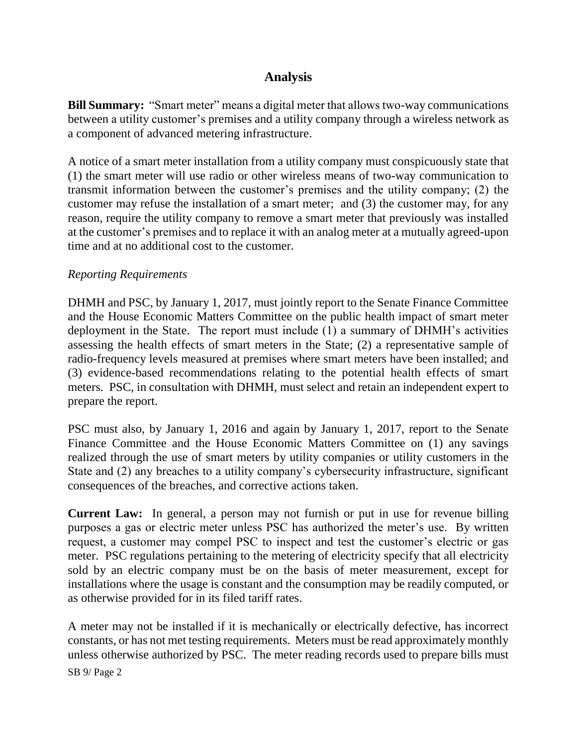# **Analysis**

**Bill Summary:** "Smart meter" means a digital meter that allows two-way communications between a utility customer's premises and a utility company through a wireless network as a component of advanced metering infrastructure.

A notice of a smart meter installation from a utility company must conspicuously state that (1) the smart meter will use radio or other wireless means of two-way communication to transmit information between the customer's premises and the utility company; (2) the customer may refuse the installation of a smart meter; and (3) the customer may, for any reason, require the utility company to remove a smart meter that previously was installed at the customer's premises and to replace it with an analog meter at a mutually agreed-upon time and at no additional cost to the customer.

### *Reporting Requirements*

DHMH and PSC, by January 1, 2017, must jointly report to the Senate Finance Committee and the House Economic Matters Committee on the public health impact of smart meter deployment in the State. The report must include (1) a summary of DHMH's activities assessing the health effects of smart meters in the State; (2) a representative sample of radio-frequency levels measured at premises where smart meters have been installed; and (3) evidence-based recommendations relating to the potential health effects of smart meters. PSC, in consultation with DHMH, must select and retain an independent expert to prepare the report.

PSC must also, by January 1, 2016 and again by January 1, 2017, report to the Senate Finance Committee and the House Economic Matters Committee on (1) any savings realized through the use of smart meters by utility companies or utility customers in the State and (2) any breaches to a utility company's cybersecurity infrastructure, significant consequences of the breaches, and corrective actions taken.

**Current Law:** In general, a person may not furnish or put in use for revenue billing purposes a gas or electric meter unless PSC has authorized the meter's use. By written request, a customer may compel PSC to inspect and test the customer's electric or gas meter. PSC regulations pertaining to the metering of electricity specify that all electricity sold by an electric company must be on the basis of meter measurement, except for installations where the usage is constant and the consumption may be readily computed, or as otherwise provided for in its filed tariff rates.

A meter may not be installed if it is mechanically or electrically defective, has incorrect constants, or has not met testing requirements. Meters must be read approximately monthly unless otherwise authorized by PSC. The meter reading records used to prepare bills must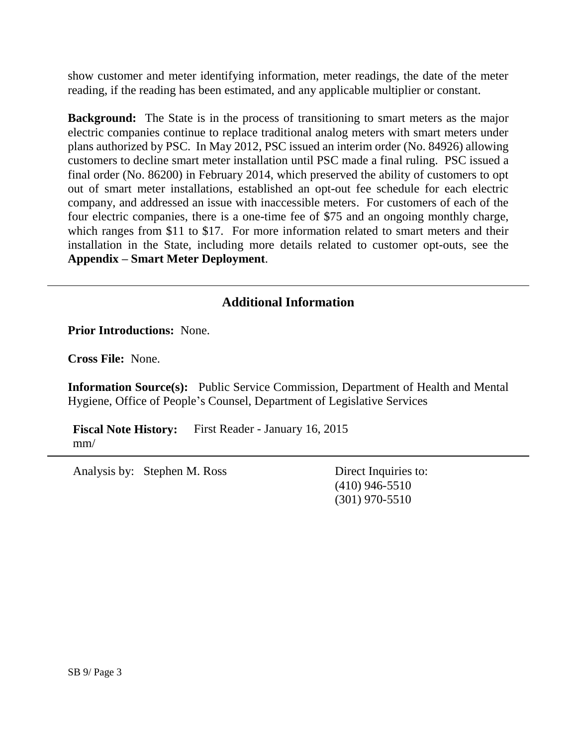show customer and meter identifying information, meter readings, the date of the meter reading, if the reading has been estimated, and any applicable multiplier or constant.

**Background:** The State is in the process of transitioning to smart meters as the major electric companies continue to replace traditional analog meters with smart meters under plans authorized by PSC. In May 2012, PSC issued an interim order (No. 84926) allowing customers to decline smart meter installation until PSC made a final ruling. PSC issued a final order (No. 86200) in February 2014, which preserved the ability of customers to opt out of smart meter installations, established an opt-out fee schedule for each electric company, and addressed an issue with inaccessible meters. For customers of each of the four electric companies, there is a one-time fee of \$75 and an ongoing monthly charge, which ranges from \$11 to \$17. For more information related to smart meters and their installation in the State, including more details related to customer opt-outs, see the **Appendix – Smart Meter Deployment**.

# **Additional Information**

**Prior Introductions:** None.

**Cross File:** None.

**Information Source(s):** Public Service Commission, Department of Health and Mental Hygiene, Office of People's Counsel, Department of Legislative Services

**Fiscal Note History:** First Reader - January 16, 2015 mm/

Analysis by: Stephen M. Ross Direct Inquiries to:

(410) 946-5510 (301) 970-5510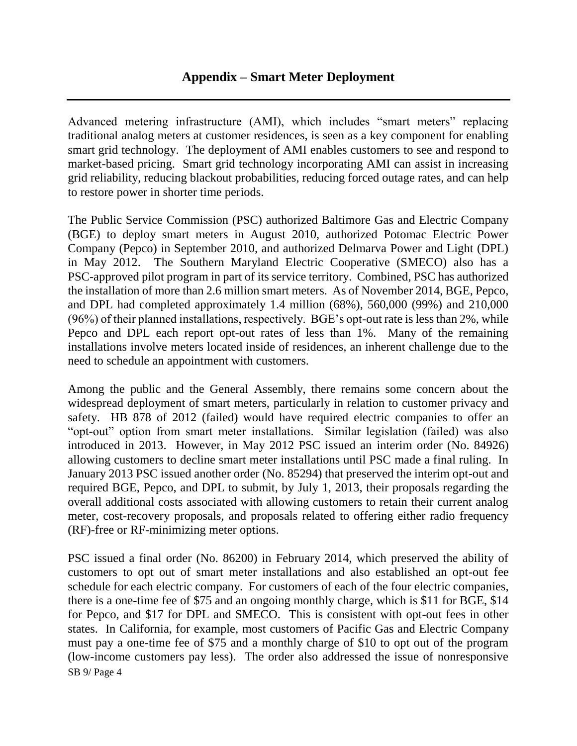Advanced metering infrastructure (AMI), which includes "smart meters" replacing traditional analog meters at customer residences, is seen as a key component for enabling smart grid technology. The deployment of AMI enables customers to see and respond to market-based pricing. Smart grid technology incorporating AMI can assist in increasing grid reliability, reducing blackout probabilities, reducing forced outage rates, and can help to restore power in shorter time periods.

The Public Service Commission (PSC) authorized Baltimore Gas and Electric Company (BGE) to deploy smart meters in August 2010, authorized Potomac Electric Power Company (Pepco) in September 2010, and authorized Delmarva Power and Light (DPL) in May 2012. The Southern Maryland Electric Cooperative (SMECO) also has a PSC-approved pilot program in part of its service territory. Combined, PSC has authorized the installation of more than 2.6 million smart meters. As of November 2014, BGE, Pepco, and DPL had completed approximately 1.4 million (68%), 560,000 (99%) and 210,000 (96%) of their planned installations, respectively. BGE's opt-out rate is less than 2%, while Pepco and DPL each report opt-out rates of less than 1%. Many of the remaining installations involve meters located inside of residences, an inherent challenge due to the need to schedule an appointment with customers.

Among the public and the General Assembly, there remains some concern about the widespread deployment of smart meters, particularly in relation to customer privacy and safety. HB 878 of 2012 (failed) would have required electric companies to offer an "opt-out" option from smart meter installations. Similar legislation (failed) was also introduced in 2013. However, in May 2012 PSC issued an interim order (No. 84926) allowing customers to decline smart meter installations until PSC made a final ruling. In January 2013 PSC issued another order (No. 85294) that preserved the interim opt-out and required BGE, Pepco, and DPL to submit, by July 1, 2013, their proposals regarding the overall additional costs associated with allowing customers to retain their current analog meter, cost-recovery proposals, and proposals related to offering either radio frequency (RF)-free or RF-minimizing meter options.

SB 9/ Page 4 PSC issued a final order (No. 86200) in February 2014, which preserved the ability of customers to opt out of smart meter installations and also established an opt-out fee schedule for each electric company. For customers of each of the four electric companies, there is a one-time fee of \$75 and an ongoing monthly charge, which is \$11 for BGE, \$14 for Pepco, and \$17 for DPL and SMECO. This is consistent with opt-out fees in other states. In California, for example, most customers of Pacific Gas and Electric Company must pay a one-time fee of \$75 and a monthly charge of \$10 to opt out of the program (low-income customers pay less). The order also addressed the issue of nonresponsive